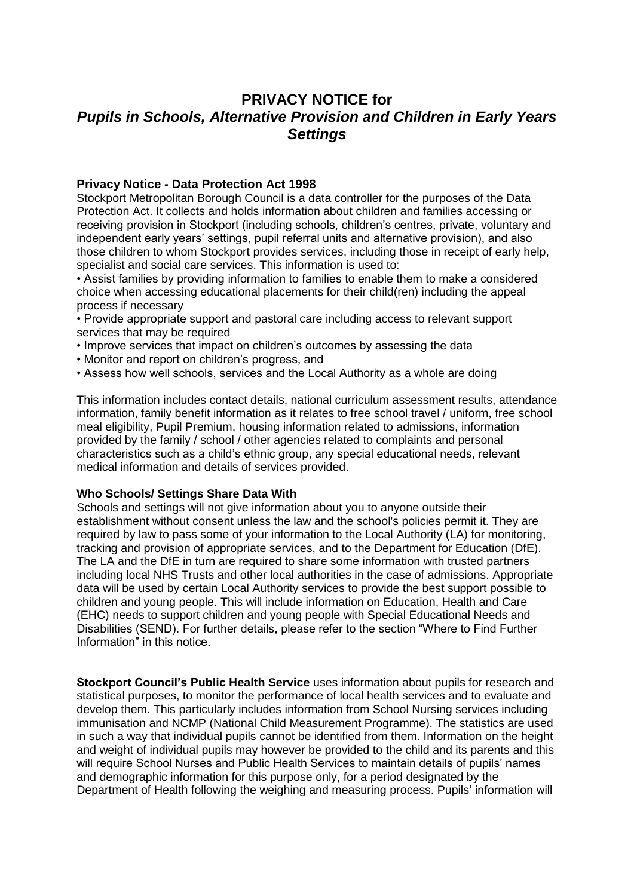# **PRIVACY NOTICE for** *Pupils in Schools, Alternative Provision and Children in Early Years Settings*

# **Privacy Notice - Data Protection Act 1998**

Stockport Metropolitan Borough Council is a data controller for the purposes of the Data Protection Act. It collects and holds information about children and families accessing or receiving provision in Stockport (including schools, children's centres, private, voluntary and independent early years' settings, pupil referral units and alternative provision), and also those children to whom Stockport provides services, including those in receipt of early help, specialist and social care services. This information is used to:

• Assist families by providing information to families to enable them to make a considered choice when accessing educational placements for their child(ren) including the appeal process if necessary

• Provide appropriate support and pastoral care including access to relevant support services that may be required

- Improve services that impact on children's outcomes by assessing the data
- Monitor and report on children's progress, and
- Assess how well schools, services and the Local Authority as a whole are doing

This information includes contact details, national curriculum assessment results, attendance information, family benefit information as it relates to free school travel / uniform, free school meal eligibility, Pupil Premium, housing information related to admissions, information provided by the family / school / other agencies related to complaints and personal characteristics such as a child's ethnic group, any special educational needs, relevant medical information and details of services provided.

## **Who Schools/ Settings Share Data With**

Schools and settings will not give information about you to anyone outside their establishment without consent unless the law and the school's policies permit it. They are required by law to pass some of your information to the Local Authority (LA) for monitoring, tracking and provision of appropriate services, and to the Department for Education (DfE). The LA and the DfE in turn are required to share some information with trusted partners including local NHS Trusts and other local authorities in the case of admissions. Appropriate data will be used by certain Local Authority services to provide the best support possible to children and young people. This will include information on Education, Health and Care (EHC) needs to support children and young people with Special Educational Needs and Disabilities (SEND). For further details, please refer to the section "Where to Find Further Information" in this notice.

**Stockport Council's Public Health Service** uses information about pupils for research and statistical purposes, to monitor the performance of local health services and to evaluate and develop them. This particularly includes information from School Nursing services including immunisation and NCMP (National Child Measurement Programme). The statistics are used in such a way that individual pupils cannot be identified from them. Information on the height and weight of individual pupils may however be provided to the child and its parents and this will require School Nurses and Public Health Services to maintain details of pupils' names and demographic information for this purpose only, for a period designated by the Department of Health following the weighing and measuring process. Pupils' information will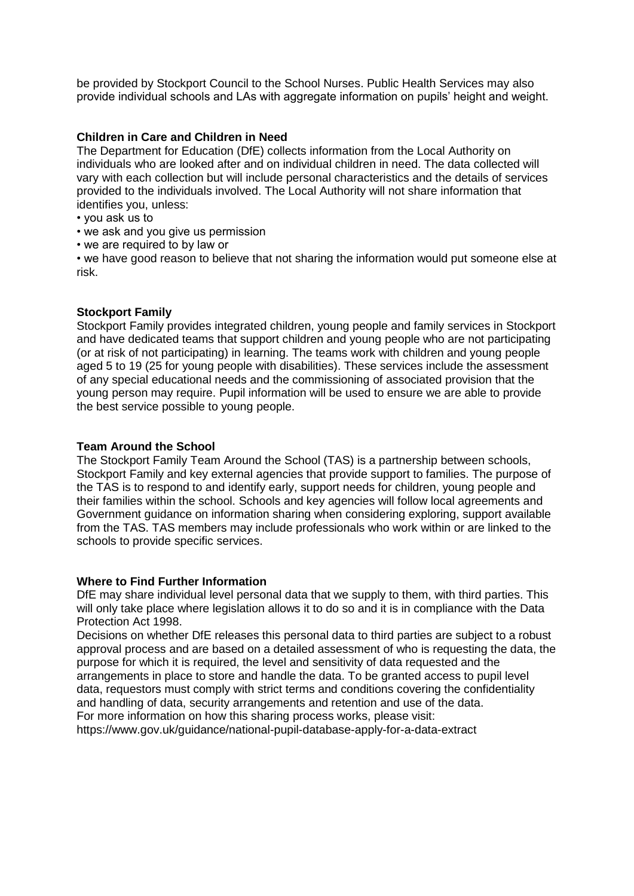be provided by Stockport Council to the School Nurses. Public Health Services may also provide individual schools and LAs with aggregate information on pupils' height and weight.

# **Children in Care and Children in Need**

The Department for Education (DfE) collects information from the Local Authority on individuals who are looked after and on individual children in need. The data collected will vary with each collection but will include personal characteristics and the details of services provided to the individuals involved. The Local Authority will not share information that identifies you, unless:

- you ask us to
- we ask and you give us permission
- we are required to by law or

• we have good reason to believe that not sharing the information would put someone else at risk.

## **Stockport Family**

Stockport Family provides integrated children, young people and family services in Stockport and have dedicated teams that support children and young people who are not participating (or at risk of not participating) in learning. The teams work with children and young people aged 5 to 19 (25 for young people with disabilities). These services include the assessment of any special educational needs and the commissioning of associated provision that the young person may require. Pupil information will be used to ensure we are able to provide the best service possible to young people.

#### **Team Around the School**

The Stockport Family Team Around the School (TAS) is a partnership between schools, Stockport Family and key external agencies that provide support to families. The purpose of the TAS is to respond to and identify early, support needs for children, young people and their families within the school. Schools and key agencies will follow local agreements and Government guidance on information sharing when considering exploring, support available from the TAS. TAS members may include professionals who work within or are linked to the schools to provide specific services.

## **Where to Find Further Information**

DfE may share individual level personal data that we supply to them, with third parties. This will only take place where legislation allows it to do so and it is in compliance with the Data Protection Act 1998.

Decisions on whether DfE releases this personal data to third parties are subject to a robust approval process and are based on a detailed assessment of who is requesting the data, the purpose for which it is required, the level and sensitivity of data requested and the arrangements in place to store and handle the data. To be granted access to pupil level data, requestors must comply with strict terms and conditions covering the confidentiality and handling of data, security arrangements and retention and use of the data. For more information on how this sharing process works, please visit:

https://www.gov.uk/guidance/national-pupil-database-apply-for-a-data-extract